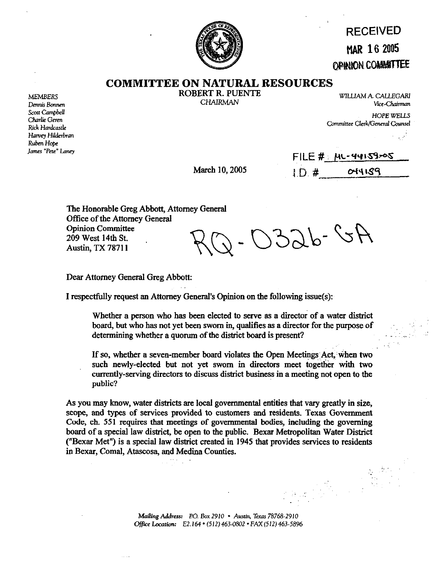## **RECEIVED MAR 16 2005**  *OPINION COMMITTEE*

**COMMITTEE ON NATURAL RESOURCES** 

**MEMBERS** Dennis Bonnen Scott Campbell Charlie Geren Rick Hardcastle Harvey Hilderbran Ruben Hope James "Pete" Laney ROBERT R. PUENTE CHAIRMAN

WILLIAM A. CALLEGARI Vice-Chairman

 $\mathcal{L} \subset \mathcal{L}^{\infty}_{\mathcal{L}}$ 

**HOPE WELLS** Committee Clerk/General Counsel

| FILE # M1.44159.05 |  |  |  |
|--------------------|--|--|--|

March 10, 2005  $1.5 \#$  overless

The Honorable Greg Abbott, Attorney General Office of the Attomev General Opinion Committee<br>209 West 14th St.<br>Austin, TX 78711 209 West 14th St. Austin, TX 78711

Dear Attorney General Greg Abbott:

I respectfully request an Attorney General's Opinion on the following issue(s):

Whether a person who has been elected to serve as a director of a water district board, but who has not yet been sworn in, qualifies as a director for the purpose of determining whether a quorum of the district board is present?

If so, whether a seven-member board violates the Open Meetings Act, when two such newly-elected but not yet sworn in directors meet together with two currently-serving directors to discuss district business in a meeting not open to the public?

As you may know, water districts are local governmental entities that vary greatly in size, scope, and types of services provided to customers and residents. Texas Government Code, ch. 551 requires that meetings of governmental bodies, including the governing board of a special law district, be open to the public. Bexar Metropolitan Water District ("Bexar Met") is a special law district created in 1945 that provides services to residents in Bexar, Comal, Atascosa, and Medina Counties.

> Mailing Address: P.O. Box 2910 • Austin, Texas 78768-2910 Office Location: E2.164 \* (512) 463-0802 · FAX (512) 463-5896